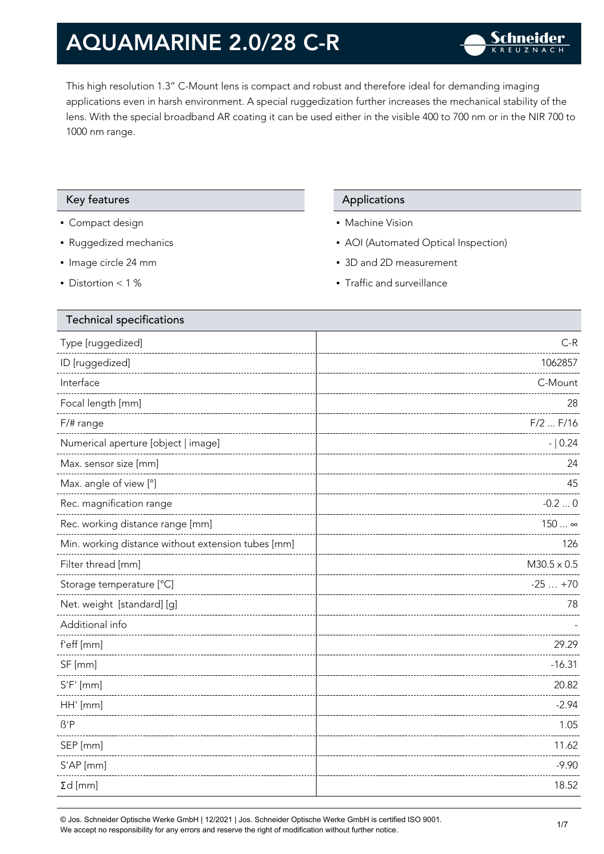This high resolution 1.3" C-Mount lens is compact and robust and therefore ideal for demanding imaging applications even in harsh environment. A special ruggedization further increases the mechanical stability of the lens. With the special broadband AR coating it can be used either in the visible 400 to 700 nm or in the NIR 700 to 1000 nm range.

#### Key features **Applications** Applications

- Compact design
- Ruggedized mechanics
- Image circle 24 mm
- Distortion < 1 %

- Machine Vision
- AOI (Automated Optical Inspection)
- 3D and 2D measurement
- Traffic and surveillance

| <b>Technical specifications</b>                    |                    |
|----------------------------------------------------|--------------------|
| Type [ruggedized]                                  | $C-R$              |
| ID [ruggedized]                                    | 1062857            |
| Interface                                          | C-Mount            |
| Focal length [mm]                                  | 28                 |
| F/# range                                          | $F/2$ $F/16$       |
| Numerical aperture [object   image]                | $- 0.24$           |
| Max. sensor size [mm]                              | 24                 |
| Max. angle of view [°]                             | 45                 |
| Rec. magnification range                           | $-0.20$            |
| Rec. working distance range [mm]                   | $150 \infty$       |
| Min. working distance without extension tubes [mm] | 126                |
| Filter thread [mm]                                 | $M30.5 \times 0.5$ |
| Storage temperature [°C]                           | $-25+70$           |
| Net. weight [standard] [g]                         | 78                 |
| Additional info                                    |                    |
| f'eff [mm]                                         | 29.29              |
| SF [mm]                                            | $-16.31$           |
| $S'F'$ [mm]                                        | 20.82              |
| HH' [mm]                                           | $-2.94$            |
| $\beta$ 'P                                         | 1.05               |
| SEP [mm]                                           | 11.62              |
| S'AP [mm]                                          | $-9.90$            |
| $\Sigma d$ [mm]                                    | 18.52              |
|                                                    |                    |

© Jos. Schneider Optische Werke GmbH | 12/2021 | Jos. Schneider Optische Werke GmbH is certified ISO 9001. We accept no responsibility for any errors and reserve the right of modification without further notice.<br>We accept no responsibility for any errors and reserve the right of modification without further notice.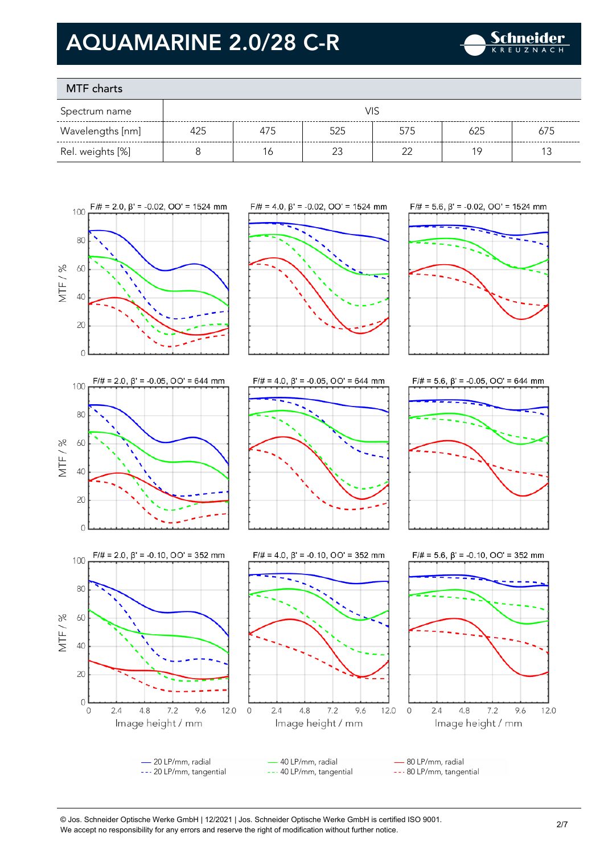

### MTF charts

| Spectrum name    | VIS |     |     |     |     |     |
|------------------|-----|-----|-----|-----|-----|-----|
| Wavelengths [nm] | 425 | 475 | 525 | 575 | 625 | 675 |
| Rel. weights [%] |     | 6   |     |     | 1 Q |     |









 $\overline{0}$ 











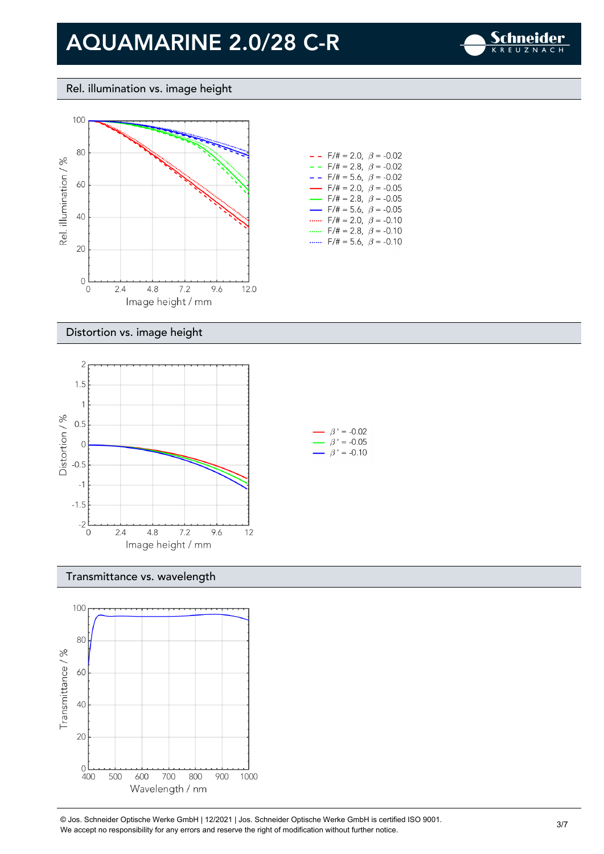

### Rel. illumination vs. image height



| $- -$                    | $F/\ddot{\pi} = 2.0, \ \ \beta = -0.02$ |  |
|--------------------------|-----------------------------------------|--|
| - -                      | $F/\ddot{\pi} = 2.8, \ \beta = -0.02$   |  |
| - -                      | $F/\ddot{\pi} = 5.6, \ \beta = -0.02$   |  |
| $\overline{\phantom{0}}$ | $F/\ddot{\pi} = 2.0, \ \ \beta = -0.05$ |  |
|                          | $F/\ddot{\pi} = 2.8, \ \ \beta = -0.05$ |  |
| $\overline{\phantom{0}}$ | $F/\ddot{\pi} = 5.6, \ \beta = -0.05$   |  |
|                          | $F/\ddot{=} = 2.0, \ \beta = -0.10$     |  |
|                          | $F/\ddot{}=2.8,~\beta$ = -0.10          |  |
|                          | $F/\ddot{=} = 5.6, \ \beta = -0.10$     |  |

#### Distortion vs. image height



#### Transmittance vs. wavelength



© Jos. Schneider Optische Werke GmbH | 12/2021 | Jos. Schneider Optische Werke GmbH is certified ISO 9001. We accept no responsibility for any errors and reserve the right of modification without further notice.<br>We accept no responsibility for any errors and reserve the right of modification without further notice.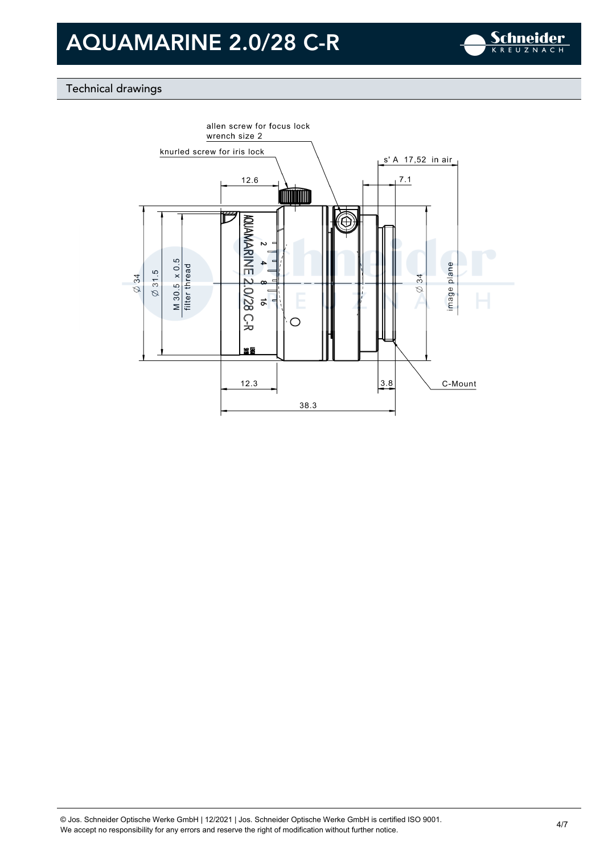

### Technical drawings

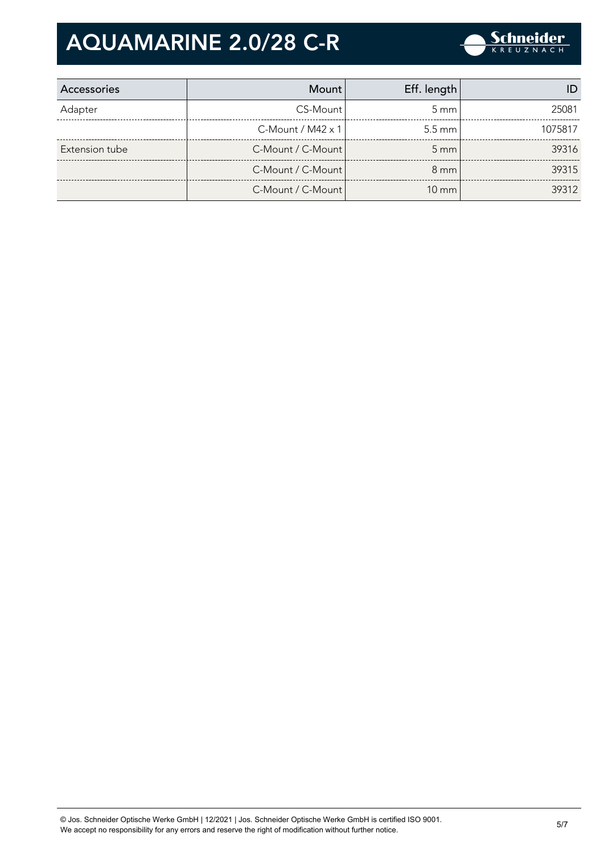

| Accessories    | Mount                    | Eff. length      |         |
|----------------|--------------------------|------------------|---------|
| Adapter        | CS-Mount                 | $5 \text{ mm}$   | 25081   |
|                | C-Mount / M42 $\times$ 1 | $5.5 \text{ mm}$ | 1075817 |
| Extension tube | C-Mount / C-Mount        | $5 \text{ mm}$   | 39316   |
|                | C-Mount / C-Mount        | $8 \text{ mm}$   | 39315   |
|                | C-Mount / C-Mount        | $10 \text{ mm}$  | 39312   |